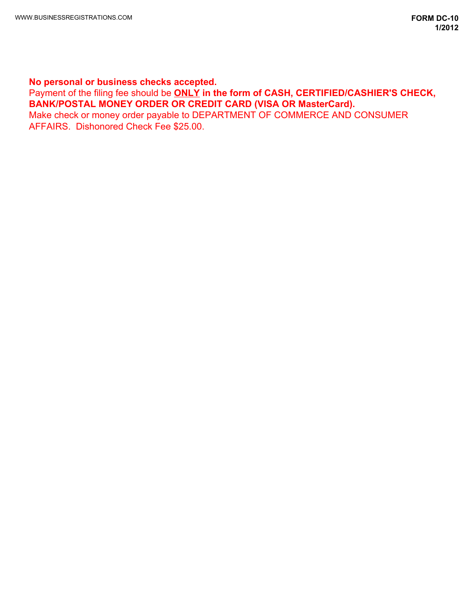# **No personal or business checks accepted.**

Payment of the filing fee should be **ONLY in the form of CASH, CERTIFIED/CASHIER'S CHECK, BANK/POSTAL MONEY ORDER OR CREDIT CARD (VISA OR MasterCard).** 

Make check or money order payable to DEPARTMENT OF COMMERCE AND CONSUMER AFFAIRS. Dishonored Check Fee \$25.00.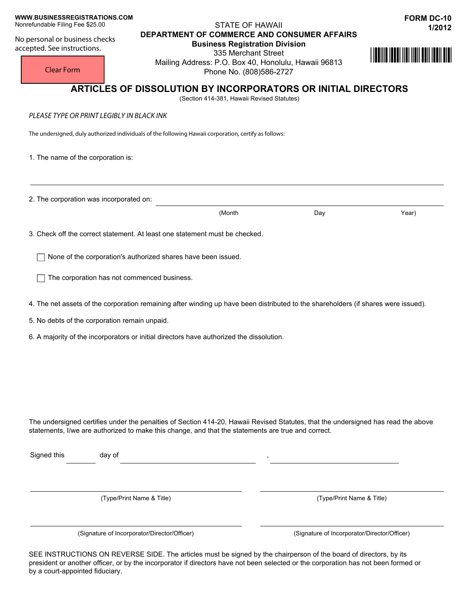#### **WWW.BUSINESSREGISTRATIONS.COM** Nonrefundable Filing Fee \$25.00

No personal or business checks accepted. See instructions.

## STATE OF HAWAII **1/2012 DEPARTMENT OF COMMERCE AND CONSUMER AFFAIRS**

**Business Registration Division**  335 Merchant Street Mailing Address: P.O. Box 40, Honolulu, Hawaii 96813 Phone No. (808)586-2727



Clear Form

# **ARTICLES OF DISSOLUTION BY INCORPORATORS OR INITIAL DIRECTORS**

(Section 414-381, Hawaii Revised Statutes)

*PLEASE TYPE OR PRINT LEGIBLY IN BLACK INK* 

The undersigned, duly authorized individuals of the following Hawaii corporation, certify as follows:

1. The name of the corporation is:

2. The corporation was incorporated on:

(Month Day Year)

3. Check off the correct statement. At least one statement must be checked.

 $\Box$  None of the corporation's authorized shares have been issued.

 $\Box$  The corporation has not commenced business.

4. The net assets of the corporation remaining after winding up have been distributed to the shareholders (if shares were issued).

5. No debts of the corporation remain unpaid.

6. A majority of the incorporators or initial directors have authorized the dissolution.

The undersigned certifies under the penalties of Section 414-20, Hawaii Revised Statutes, that the undersigned has read the above statements, I/we are authorized to make this change, and that the statements are true and correct.

Signed this day of

(Type/Print Name & Title) (Type/Print Name & Title)

(Signature of Incorporator/Director/Officer) (Signature of Incorporator/Director/Officer)

SEE INSTRUCTIONS ON REVERSE SIDE. The articles must be signed by the chairperson of the board of directors, by its president or another officer, or by the incorporator if directors have not been selected or the corporation has not been formed or by a court-appointed fiduciary.